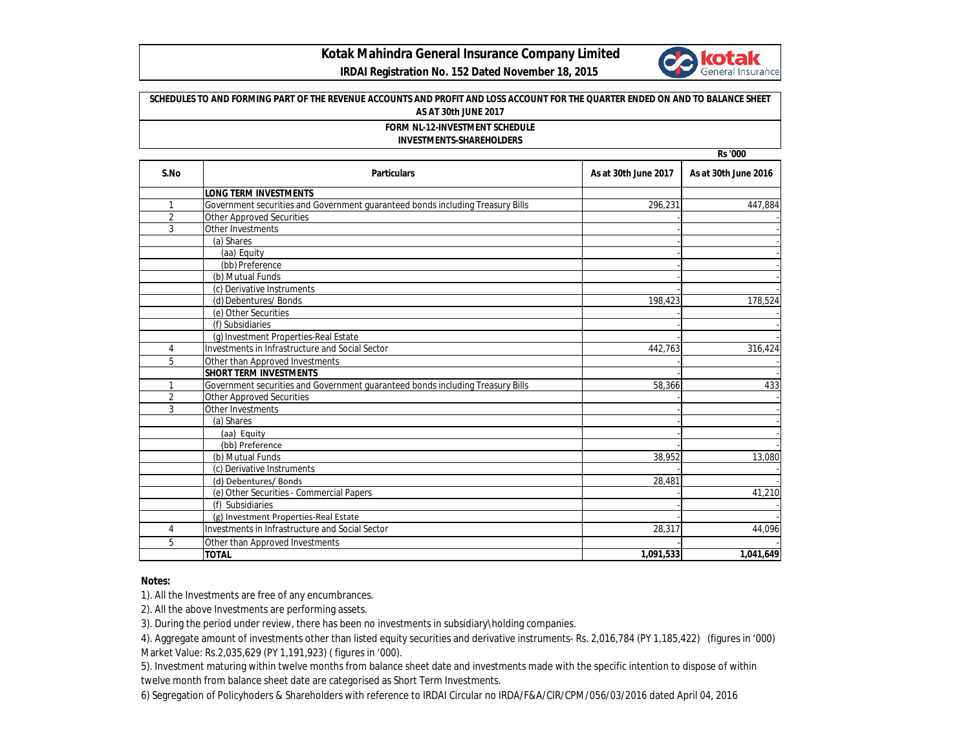

## **Kotak Mahindra General Insurance Company Limited**

 **IRDAI Registration No. 152 Dated November 18, 2015**

| SCHEDULES TO AND FORMING PART OF THE REVENUE ACCOUNTS AND PROFIT AND LOSS ACCOUNT FOR THE QUARTER ENDED ON AND TO BALANCE SHEET<br>AS AT 30th JUNE 2017<br><b>FORM NL-12-INVESTMENT SCHEDULE</b><br><b>INVESTMENTS-SHAREHOLDERS</b><br><b>Rs '000</b> |                                                                                          |           |           |  |      |                              |                      |                      |
|-------------------------------------------------------------------------------------------------------------------------------------------------------------------------------------------------------------------------------------------------------|------------------------------------------------------------------------------------------|-----------|-----------|--|------|------------------------------|----------------------|----------------------|
|                                                                                                                                                                                                                                                       |                                                                                          |           |           |  | S.No | <b>Particulars</b>           | As at 30th June 2017 | As at 30th June 2016 |
|                                                                                                                                                                                                                                                       |                                                                                          |           |           |  |      | <b>LONG TERM INVESTMENTS</b> |                      |                      |
| $\mathbf{1}$                                                                                                                                                                                                                                          | Government securities and Government guaranteed bonds including Treasury Bills           | 296,231   | 447,884   |  |      |                              |                      |                      |
| 2                                                                                                                                                                                                                                                     | <b>Other Approved Securities</b>                                                         |           |           |  |      |                              |                      |                      |
| 3                                                                                                                                                                                                                                                     | Other Investments                                                                        |           |           |  |      |                              |                      |                      |
|                                                                                                                                                                                                                                                       | (a) Shares                                                                               |           |           |  |      |                              |                      |                      |
|                                                                                                                                                                                                                                                       | (aa) Equity                                                                              |           |           |  |      |                              |                      |                      |
|                                                                                                                                                                                                                                                       | (bb) Preference                                                                          |           |           |  |      |                              |                      |                      |
|                                                                                                                                                                                                                                                       | (b) Mutual Funds                                                                         |           |           |  |      |                              |                      |                      |
|                                                                                                                                                                                                                                                       | (c) Derivative Instruments                                                               |           |           |  |      |                              |                      |                      |
|                                                                                                                                                                                                                                                       | (d) Debentures/ Bonds                                                                    | 198,423   | 178,524   |  |      |                              |                      |                      |
|                                                                                                                                                                                                                                                       | (e) Other Securities                                                                     |           |           |  |      |                              |                      |                      |
|                                                                                                                                                                                                                                                       | (f) Subsidiaries                                                                         |           |           |  |      |                              |                      |                      |
|                                                                                                                                                                                                                                                       | (g) Investment Properties-Real Estate                                                    |           |           |  |      |                              |                      |                      |
| $\overline{4}$                                                                                                                                                                                                                                        | Investments in Infrastructure and Social Sector                                          | 442,763   | 316,424   |  |      |                              |                      |                      |
| 5                                                                                                                                                                                                                                                     | Other than Approved Investments                                                          |           |           |  |      |                              |                      |                      |
|                                                                                                                                                                                                                                                       | <b>SHORT TERM INVESTMENTS</b>                                                            |           |           |  |      |                              |                      |                      |
| $\mathbf{1}$                                                                                                                                                                                                                                          | Government securities and Government guaranteed bonds including Treasury Bills           | 58,366    | 433       |  |      |                              |                      |                      |
| $\overline{2}$                                                                                                                                                                                                                                        | <b>Other Approved Securities</b>                                                         |           |           |  |      |                              |                      |                      |
| 3                                                                                                                                                                                                                                                     | Other Investments                                                                        |           |           |  |      |                              |                      |                      |
|                                                                                                                                                                                                                                                       | (a) Shares                                                                               |           |           |  |      |                              |                      |                      |
|                                                                                                                                                                                                                                                       | (aa) Equity                                                                              |           |           |  |      |                              |                      |                      |
|                                                                                                                                                                                                                                                       | (bb) Preference                                                                          |           |           |  |      |                              |                      |                      |
|                                                                                                                                                                                                                                                       | (b) Mutual Funds                                                                         | 38,952    | 13,080    |  |      |                              |                      |                      |
|                                                                                                                                                                                                                                                       | (c) Derivative Instruments                                                               |           |           |  |      |                              |                      |                      |
|                                                                                                                                                                                                                                                       | (d) Debentures/ Bonds                                                                    | 28,481    |           |  |      |                              |                      |                      |
|                                                                                                                                                                                                                                                       | (e) Other Securities - Commercial Papers                                                 |           | 41,210    |  |      |                              |                      |                      |
|                                                                                                                                                                                                                                                       | (f) Subsidiaries                                                                         |           |           |  |      |                              |                      |                      |
| 4                                                                                                                                                                                                                                                     | (g) Investment Properties-Real Estate<br>Investments in Infrastructure and Social Sector | 28,317    | 44,096    |  |      |                              |                      |                      |
|                                                                                                                                                                                                                                                       |                                                                                          |           |           |  |      |                              |                      |                      |
| 5                                                                                                                                                                                                                                                     | Other than Approved Investments                                                          |           |           |  |      |                              |                      |                      |
|                                                                                                                                                                                                                                                       | <b>TOTAL</b>                                                                             | 1,091,533 | 1,041,649 |  |      |                              |                      |                      |

## **Notes:**

1). All the Investments are free of any encumbrances.

2). All the above Investments are performing assets.

3). During the period under review, there has been no investments in subsidiary\holding companies.

4). Aggregate amount of investments other than listed equity securities and derivative instruments- Rs. 2,016,784 (PY 1,185,422) (figures in '000) Market Value: Rs.2,035,629 (PY 1,191,923) ( figures in '000).

5). Investment maturing within twelve months from balance sheet date and investments made with the specific intention to dispose of within twelve month from balance sheet date are categorised as Short Term Investments.

6) Segregation of Policyhoders & Shareholders with reference to IRDAI Circular no IRDA/F&A/CIR/CPM/056/03/2016 dated April 04, 2016